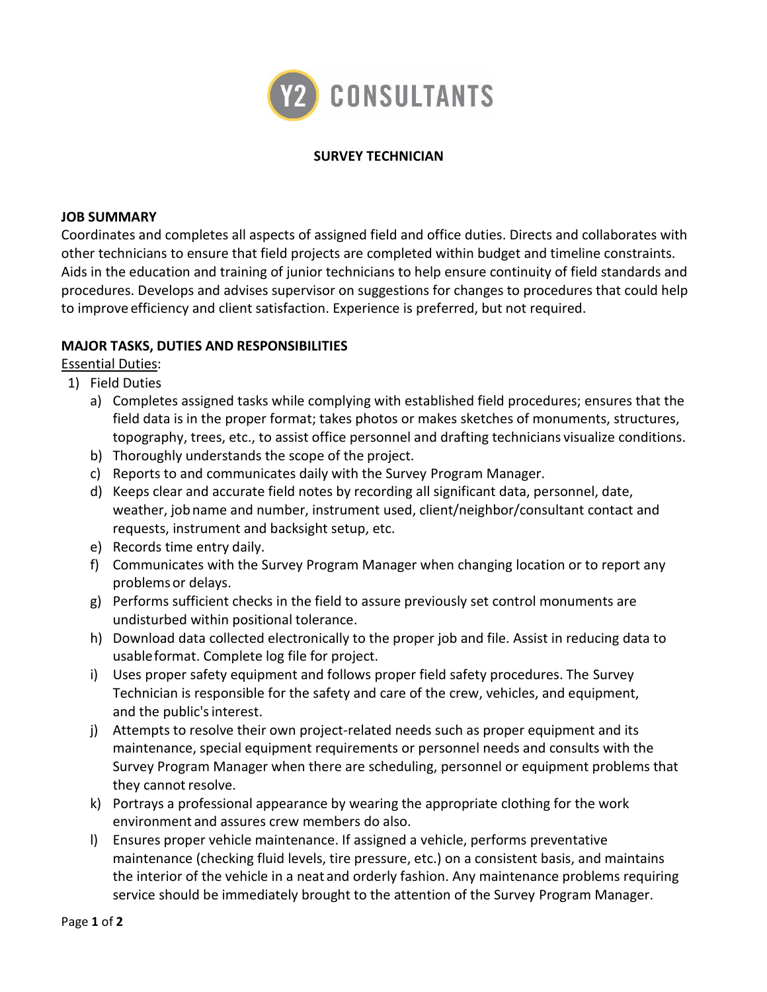

## **SURVEY TECHNICIAN**

#### **JOB SUMMARY**

Coordinates and completes all aspects of assigned field and office duties. Directs and collaborates with other technicians to ensure that field projects are completed within budget and timeline constraints. Aids in the education and training of junior technicians to help ensure continuity of field standards and procedures. Develops and advises supervisor on suggestions for changes to procedures that could help to improve efficiency and client satisfaction. Experience is preferred, but not required.

# **MAJOR TASKS, DUTIES AND RESPONSIBILITIES**

Essential Duties:

- 1) Field Duties
	- a) Completes assigned tasks while complying with established field procedures; ensures that the field data is in the proper format; takes photos or makes sketches of monuments, structures, topography, trees, etc., to assist office personnel and drafting technicians visualize conditions.
	- b) Thoroughly understands the scope of the project.
	- c) Reports to and communicates daily with the Survey Program Manager.
	- d) Keeps clear and accurate field notes by recording all significant data, personnel, date, weather, jobname and number, instrument used, client/neighbor/consultant contact and requests, instrument and backsight setup, etc.
	- e) Records time entry daily.
	- f) Communicates with the Survey Program Manager when changing location or to report any problems or delays.
	- g) Performs sufficient checks in the field to assure previously set control monuments are undisturbed within positional tolerance.
	- h) Download data collected electronically to the proper job and file. Assist in reducing data to usableformat. Complete log file for project.
	- i) Uses proper safety equipment and follows proper field safety procedures. The Survey Technician is responsible for the safety and care of the crew, vehicles, and equipment, and the public'sinterest.
	- j) Attempts to resolve their own project-related needs such as proper equipment and its maintenance, special equipment requirements or personnel needs and consults with the Survey Program Manager when there are scheduling, personnel or equipment problems that they cannot resolve.
	- k) Portrays a professional appearance by wearing the appropriate clothing for the work environment and assures crew members do also.
	- l) Ensures proper vehicle maintenance. If assigned a vehicle, performs preventative maintenance (checking fluid levels, tire pressure, etc.) on a consistent basis, and maintains the interior of the vehicle in a neat and orderly fashion. Any maintenance problems requiring service should be immediately brought to the attention of the Survey Program Manager.